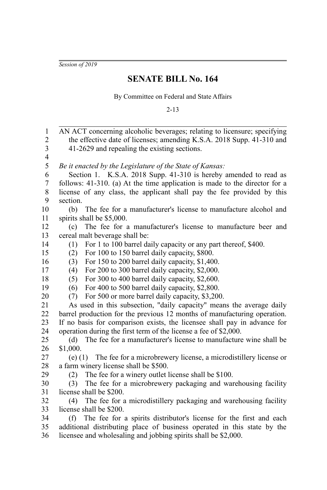*Session of 2019*

## **SENATE BILL No. 164**

By Committee on Federal and State Affairs

2-13

AN ACT concerning alcoholic beverages; relating to licensure; specifying the effective date of licenses; amending K.S.A. 2018 Supp. 41-310 and 41-2629 and repealing the existing sections. *Be it enacted by the Legislature of the State of Kansas:* Section 1. K.S.A. 2018 Supp. 41-310 is hereby amended to read as follows: 41-310. (a) At the time application is made to the director for a license of any class, the applicant shall pay the fee provided by this section. (b) The fee for a manufacturer's license to manufacture alcohol and spirits shall be \$5,000. (c) The fee for a manufacturer's license to manufacture beer and cereal malt beverage shall be: (1) For 1 to 100 barrel daily capacity or any part thereof, \$400. (2) For 100 to 150 barrel daily capacity, \$800. (3) For 150 to 200 barrel daily capacity, \$1,400. (4) For 200 to 300 barrel daily capacity, \$2,000. (5) For 300 to 400 barrel daily capacity, \$2,600. (6) For 400 to 500 barrel daily capacity, \$2,800. (7) For 500 or more barrel daily capacity, \$3,200. As used in this subsection, "daily capacity" means the average daily barrel production for the previous 12 months of manufacturing operation. If no basis for comparison exists, the licensee shall pay in advance for operation during the first term of the license a fee of \$2,000. (d) The fee for a manufacturer's license to manufacture wine shall be \$1,000. (e) (1) The fee for a microbrewery license, a microdistillery license or a farm winery license shall be \$500. (2) The fee for a winery outlet license shall be \$100. (3) The fee for a microbrewery packaging and warehousing facility license shall be \$200. (4) The fee for a microdistillery packaging and warehousing facility license shall be \$200. (f) The fee for a spirits distributor's license for the first and each additional distributing place of business operated in this state by the licensee and wholesaling and jobbing spirits shall be \$2,000. 1 2 3 4 5 6 7 8 9 10 11 12 13 14 15 16 17 18 19 20 21 22 23 24 25 26 27 28 29 30 31 32 33 34 35 36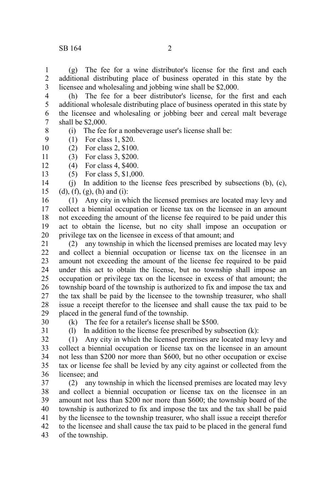(g) The fee for a wine distributor's license for the first and each additional distributing place of business operated in this state by the licensee and wholesaling and jobbing wine shall be \$2,000. 1 2 3

(h) The fee for a beer distributor's license, for the first and each additional wholesale distributing place of business operated in this state by the licensee and wholesaling or jobbing beer and cereal malt beverage shall be \$2,000. 4 5 6 7 8

- (i) The fee for a nonbeverage user's license shall be:
- (1) For class 1, \$20. 9
- (2) For class 2, \$100. 10
- (3) For class 3, \$200. 11
- (4) For class 4, \$400. 12
	- (5) For class 5, \$1,000.

(j) In addition to the license fees prescribed by subsections (b), (c),  $(d)$ ,  $(f)$ ,  $(g)$ ,  $(h)$  and  $(i)$ : 14 15

(1) Any city in which the licensed premises are located may levy and collect a biennial occupation or license tax on the licensee in an amount not exceeding the amount of the license fee required to be paid under this act to obtain the license, but no city shall impose an occupation or privilege tax on the licensee in excess of that amount; and 16 17 18 19 20

(2) any township in which the licensed premises are located may levy and collect a biennial occupation or license tax on the licensee in an amount not exceeding the amount of the license fee required to be paid under this act to obtain the license, but no township shall impose an occupation or privilege tax on the licensee in excess of that amount; the township board of the township is authorized to fix and impose the tax and the tax shall be paid by the licensee to the township treasurer, who shall issue a receipt therefor to the licensee and shall cause the tax paid to be placed in the general fund of the township. 21 22 23 24 25 26 27 28 29

30

13

(k) The fee for a retailer's license shall be \$500.

31

(l) In addition to the license fee prescribed by subsection (k):

(1) Any city in which the licensed premises are located may levy and collect a biennial occupation or license tax on the licensee in an amount not less than \$200 nor more than \$600, but no other occupation or excise tax or license fee shall be levied by any city against or collected from the licensee; and 32 33 34 35 36

(2) any township in which the licensed premises are located may levy and collect a biennial occupation or license tax on the licensee in an amount not less than \$200 nor more than \$600; the township board of the township is authorized to fix and impose the tax and the tax shall be paid by the licensee to the township treasurer, who shall issue a receipt therefor to the licensee and shall cause the tax paid to be placed in the general fund of the township. 37 38 39 40 41 42 43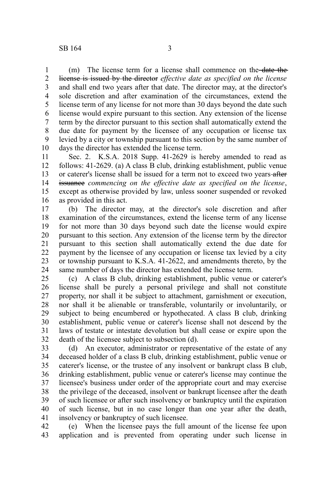(m) The license term for a license shall commence on the date the license is issued by the director *effective date as specified on the license* and shall end two years after that date. The director may, at the director's sole discretion and after examination of the circumstances, extend the license term of any license for not more than 30 days beyond the date such license would expire pursuant to this section. Any extension of the license term by the director pursuant to this section shall automatically extend the due date for payment by the licensee of any occupation or license tax levied by a city or township pursuant to this section by the same number of days the director has extended the license term. 1 2 3 4 5 6 7 8 9 10

Sec. 2. K.S.A. 2018 Supp. 41-2629 is hereby amended to read as follows: 41-2629. (a) A class B club, drinking establishment, public venue or caterer's license shall be issued for a term not to exceed two years-after issuance *commencing on the effective date as specified on the license*, except as otherwise provided by law, unless sooner suspended or revoked as provided in this act. 11 12 13 14 15 16

(b) The director may, at the director's sole discretion and after examination of the circumstances, extend the license term of any license for not more than 30 days beyond such date the license would expire pursuant to this section. Any extension of the license term by the director pursuant to this section shall automatically extend the due date for payment by the licensee of any occupation or license tax levied by a city or township pursuant to K.S.A. 41-2622, and amendments thereto, by the same number of days the director has extended the license term. 17 18 19 20 21 22 23 24

(c) A class B club, drinking establishment, public venue or caterer's license shall be purely a personal privilege and shall not constitute property, nor shall it be subject to attachment, garnishment or execution, nor shall it be alienable or transferable, voluntarily or involuntarily, or subject to being encumbered or hypothecated. A class B club, drinking establishment, public venue or caterer's license shall not descend by the laws of testate or intestate devolution but shall cease or expire upon the death of the licensee subject to subsection (d). 25 26 27 28 29 30 31 32

(d) An executor, administrator or representative of the estate of any deceased holder of a class B club, drinking establishment, public venue or caterer's license, or the trustee of any insolvent or bankrupt class B club, drinking establishment, public venue or caterer's license may continue the licensee's business under order of the appropriate court and may exercise the privilege of the deceased, insolvent or bankrupt licensee after the death of such licensee or after such insolvency or bankruptcy until the expiration of such license, but in no case longer than one year after the death, insolvency or bankruptcy of such licensee. 33 34 35 36 37 38 39 40 41

(e) When the licensee pays the full amount of the license fee upon application and is prevented from operating under such license in 42 43